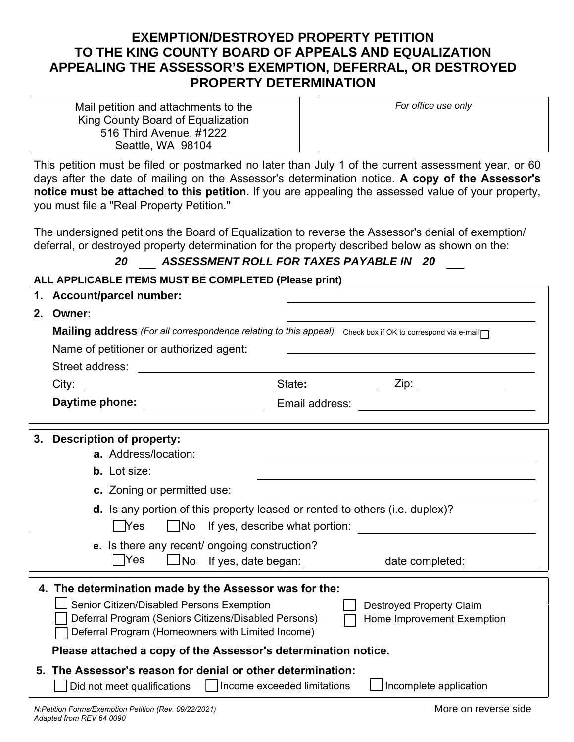## **EXEMPTION/DESTROYED PROPERTY PETITION TO THE KING COUNTY BOARD OF APPEALS AND EQUALIZATION APPEALING THE ASSESSOR'S EXEMPTION, DEFERRAL, OR DESTROYED PROPERTY DETERMINATION**

Mail petition and attachments to the King County Board of Equalization 516 Third Avenue, #1222 Seattle, WA 98104

*For office use only* 

This petition must be filed or postmarked no later than July 1 of the current assessment year, or 60 days after the date of mailing on the Assessor's determination notice. **A copy of the Assessor's notice must be attached to this petition.** If you are appealing the assessed value of your property, you must file a "Real Property Petition."

The undersigned petitions the Board of Equalization to reverse the Assessor's denial of exemption/ deferral, or destroyed property determination for the property described below as shown on the:

### *20 ASSESSMENT ROLL FOR TAXES PAYABLE IN 20*

**ALL APPLICABLE ITEMS MUST BE COMPLETED (Please print)** 

| 1. | <b>Account/parcel number:</b>                                                                                                                                                                                                                                                                         |
|----|-------------------------------------------------------------------------------------------------------------------------------------------------------------------------------------------------------------------------------------------------------------------------------------------------------|
| 2. | Owner:                                                                                                                                                                                                                                                                                                |
|    | Mailing address (For all correspondence relating to this appeal) Check box if OK to correspond via e-mail                                                                                                                                                                                             |
|    | Name of petitioner or authorized agent:<br><u> 1980 - Johann Barbara, martxa alemaniar arg</u>                                                                                                                                                                                                        |
|    | Street address:                                                                                                                                                                                                                                                                                       |
|    | City:<br>State: and the state of the state of the state of the state of the state of the state of the state of the state of the state of the state of the state of the state of the state of the state of the state of the state of the<br><u> 1990 - Johann Barn, mars ann an Catharin ann an t-</u> |
|    | Daytime phone:<br>Email address:                                                                                                                                                                                                                                                                      |
| 3. | <b>Description of property:</b>                                                                                                                                                                                                                                                                       |
|    | a. Address/location:                                                                                                                                                                                                                                                                                  |
|    | <b>b.</b> Lot size:                                                                                                                                                                                                                                                                                   |
|    | c. Zoning or permitted use:                                                                                                                                                                                                                                                                           |
|    | d. Is any portion of this property leased or rented to others (i.e. duplex)?<br>$\Box$ Yes<br>$\Box$ No If yes, describe what portion:                                                                                                                                                                |
|    | e. Is there any recent/ ongoing construction?<br><b>TYes</b><br>$\bigsqcup$ No<br>If yes, date began: <u>success</u><br>date completed: _____________                                                                                                                                                 |
|    | 4. The determination made by the Assessor was for the:<br>Senior Citizen/Disabled Persons Exemption<br><b>Destroyed Property Claim</b><br>Deferral Program (Seniors Citizens/Disabled Persons)<br>Home Improvement Exemption<br>Deferral Program (Homeowners with Limited Income)                     |
|    | Please attached a copy of the Assessor's determination notice.                                                                                                                                                                                                                                        |
|    | 5. The Assessor's reason for denial or other determination:<br>$\Box$ Incomplete application                                                                                                                                                                                                          |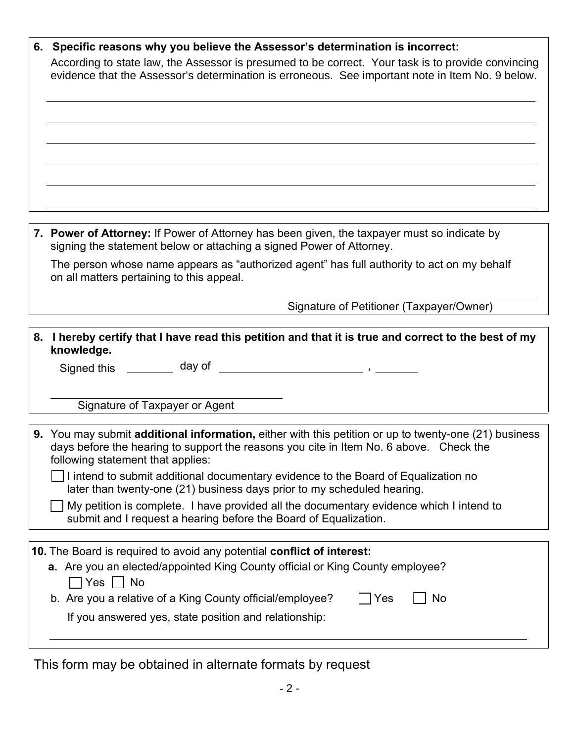| 6. Specific reasons why you believe the Assessor's determination is incorrect:                                                                                                                                                       |
|--------------------------------------------------------------------------------------------------------------------------------------------------------------------------------------------------------------------------------------|
| According to state law, the Assessor is presumed to be correct. Your task is to provide convincing<br>evidence that the Assessor's determination is erroneous. See important note in Item No. 9 below.                               |
|                                                                                                                                                                                                                                      |
|                                                                                                                                                                                                                                      |
|                                                                                                                                                                                                                                      |
|                                                                                                                                                                                                                                      |
|                                                                                                                                                                                                                                      |
|                                                                                                                                                                                                                                      |
|                                                                                                                                                                                                                                      |
| 7. Power of Attorney: If Power of Attorney has been given, the taxpayer must so indicate by<br>signing the statement below or attaching a signed Power of Attorney.                                                                  |
| The person whose name appears as "authorized agent" has full authority to act on my behalf<br>on all matters pertaining to this appeal.                                                                                              |
| Signature of Petitioner (Taxpayer/Owner)                                                                                                                                                                                             |
|                                                                                                                                                                                                                                      |
| 8. I hereby certify that I have read this petition and that it is true and correct to the best of my<br>knowledge.                                                                                                                   |
|                                                                                                                                                                                                                                      |
|                                                                                                                                                                                                                                      |
| Signature of Taxpayer or Agent                                                                                                                                                                                                       |
|                                                                                                                                                                                                                                      |
| 9. You may submit additional information, either with this petition or up to twenty-one (21) business<br>days before the hearing to support the reasons you cite in Item No. 6 above. Check the<br>following statement that applies: |
| I intend to submit additional documentary evidence to the Board of Equalization no<br>later than twenty-one (21) business days prior to my scheduled hearing.                                                                        |
| My petition is complete. I have provided all the documentary evidence which I intend to<br>submit and I request a hearing before the Board of Equalization.                                                                          |
|                                                                                                                                                                                                                                      |
| 10. The Board is required to avoid any potential conflict of interest:<br>a. Are you an elected/appointed King County official or King County employee?                                                                              |
| │Yes │ No                                                                                                                                                                                                                            |
| b. Are you a relative of a King County official/employee?<br>No<br> Yes                                                                                                                                                              |
| If you answered yes, state position and relationship:                                                                                                                                                                                |
|                                                                                                                                                                                                                                      |

This form may be obtained in alternate formats by request